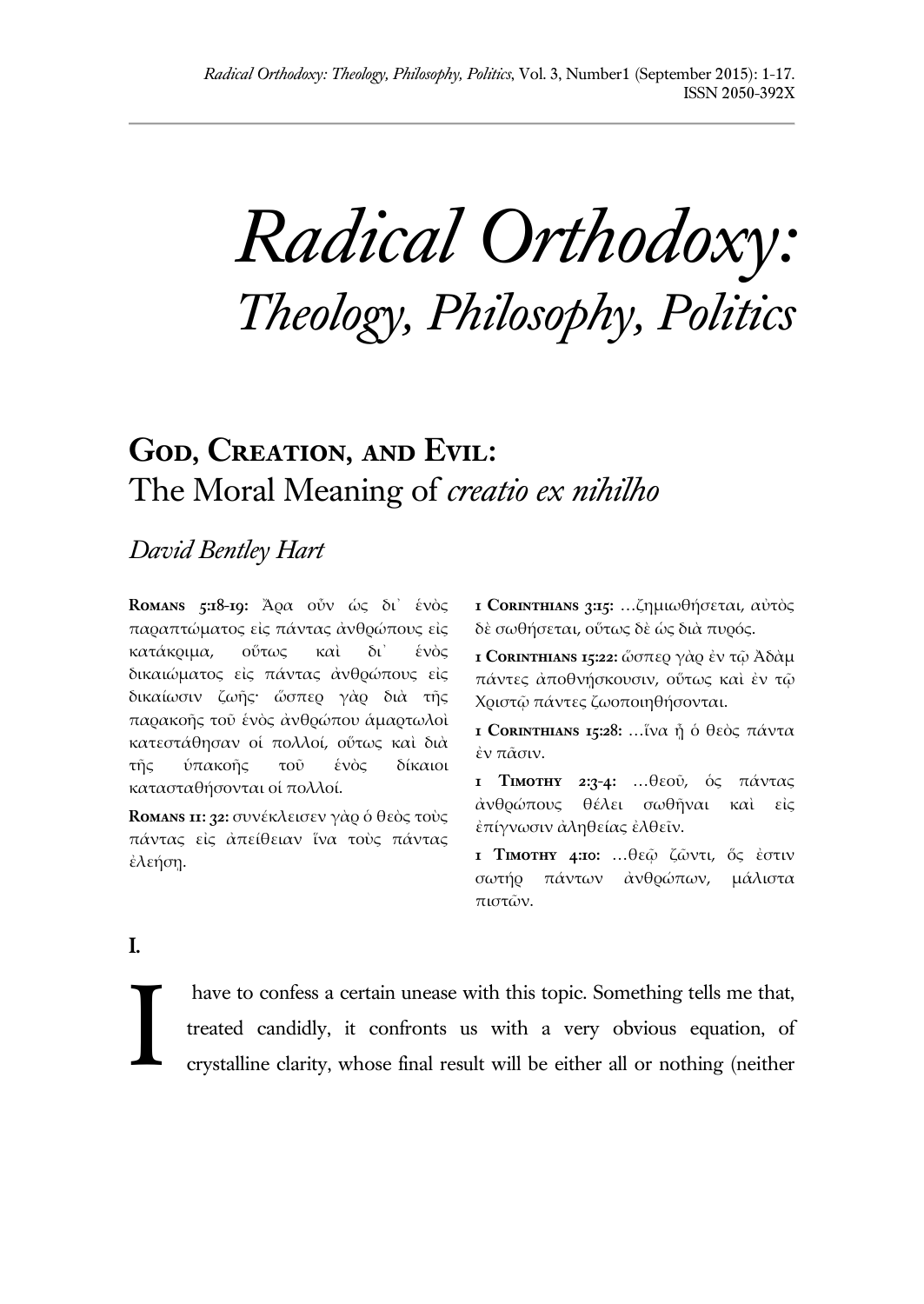*Radical Orthodoxy: Theology, Philosophy, Politics*

# **God, Creation, and Evil:** The Moral Meaning of *creatio ex nihilho*

# *David Bentley Hart*

**Romans 5:18-19:** Ἄρα οὖν ὡς δι᾽ ἑνὸς παραπτώματος εἰς πάντας ἀνθρώπους εἰς κατάκριμα, οὕτως καὶ δι᾽ ἑνὸς δικαιώματος εἰς πάντας ἀνθρώπους εἰς δικαίωσιν ζωῆς· ὥσπερ γὰρ διὰ τῆς παρακοῆς τοῦ ἑνὸς ἀνθρώπου ἁμαρτωλοὶ κατεστάθησαν οἱ πολλοί, οὕτως καὶ διὰ τῆς ὑπακοῆς τοῦ ἑνὸς δίκαιοι κατασταθήσονται οἱ πολλοί.

**Romans 11: 32:** συνέκλεισεν γὰρ ὁ θεὸς τοὺς πάντας εἰς ἀπείθειαν ἵνα τοὺς πάντας ἐλεήσῃ.

**1 Corinthians 3:15:** …ζημιωθήσεται, αὐτὸς δὲ σωθήσεται, οὕτως δὲ ὡς διὰ πυρός.

**1 Corinthians 15:22:** ὥσπερ γὰρ ἐν τῷ Ἀδὰμ πάντες αποθνήσκουσιν, ούτως και έν τω Χριστῷ πάντες ζωοποιηθήσονται.

**1 Corinthians 15:28:** …ἵνα ᾖ ὁ θεὸς πάντα ἐν πᾶσιν.

**1 Timothy 2:3-4:** …θεοῦ, ὁς πάντας ἀνθρώπους θέλει σωθῆναι καὶ εἰς ἐπίγνωσιν ἀληθείας ἐλθεῖν.

**1 Timothy 4:10:** …θεῷ ζῶντι, ὅς ἐστιν σωτήρ πάντων ἀνθρώπων, μάλιστα πιστῶν.

**I.**

have to confess a certain unease with this topic. Something tells me that, treated candidly, it confronts us with a very obvious equation, of crystalline clarity, whose final result will be either all or nothing (neither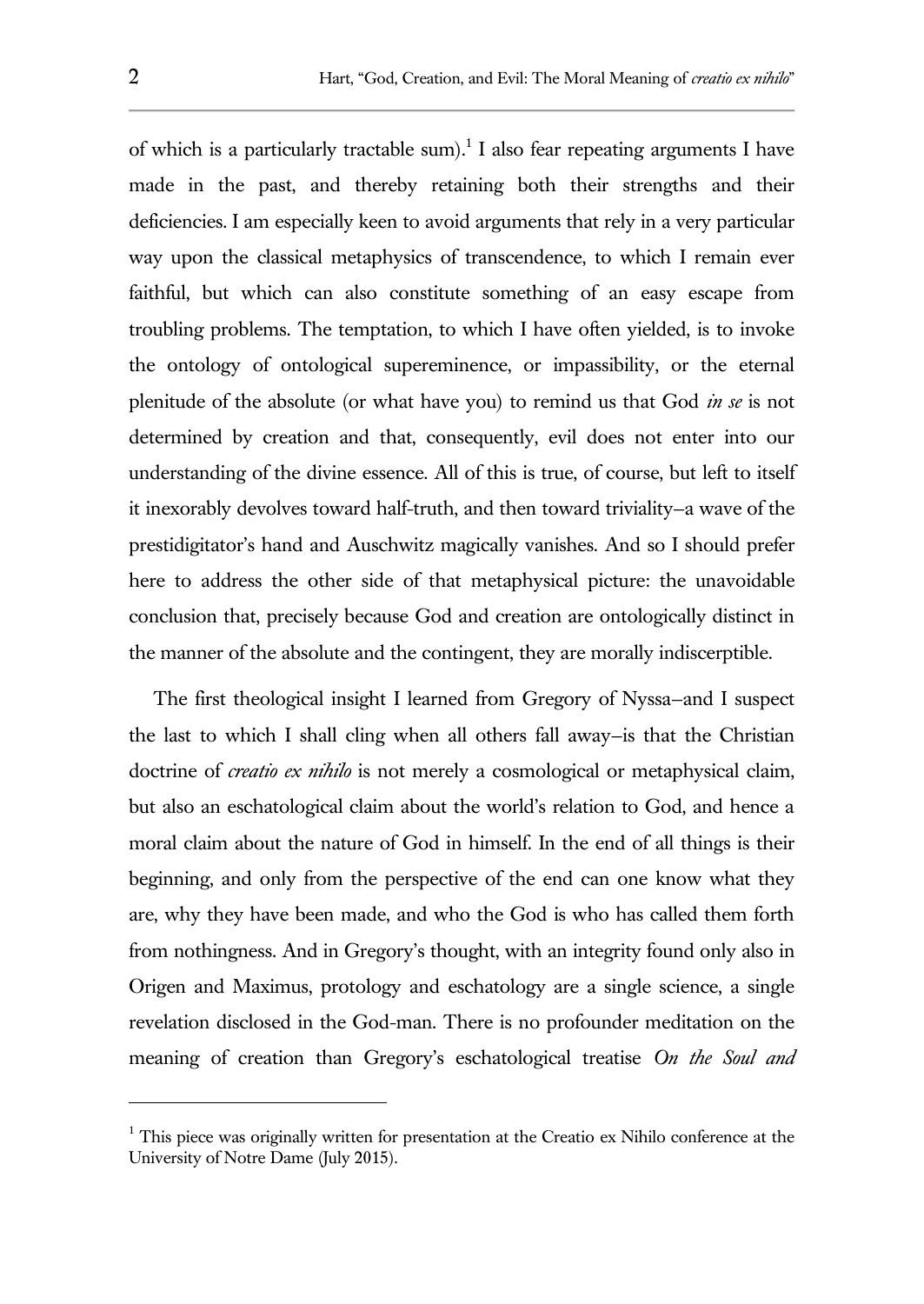of which is a particularly tractable sum).<sup>1</sup> I also fear repeating arguments I have made in the past, and thereby retaining both their strengths and their deficiencies. I am especially keen to avoid arguments that rely in a very particular way upon the classical metaphysics of transcendence, to which I remain ever faithful, but which can also constitute something of an easy escape from troubling problems. The temptation, to which I have often yielded, is to invoke the ontology of ontological supereminence, or impassibility, or the eternal plenitude of the absolute (or what have you) to remind us that God *in se* is not determined by creation and that, consequently, evil does not enter into our understanding of the divine essence. All of this is true, of course, but left to itself it inexorably devolves toward half-truth, and then toward triviality—a wave of the prestidigitator's hand and Auschwitz magically vanishes. And so I should prefer here to address the other side of that metaphysical picture: the unavoidable conclusion that, precisely because God and creation are ontologically distinct in the manner of the absolute and the contingent, they are morally indiscerptible.

The first theological insight I learned from Gregory of Nyssa—and I suspect the last to which I shall cling when all others fall away—is that the Christian doctrine of *creatio ex nihilo* is not merely a cosmological or metaphysical claim, but also an eschatological claim about the world's relation to God, and hence a moral claim about the nature of God in himself. In the end of all things is their beginning, and only from the perspective of the end can one know what they are, why they have been made, and who the God is who has called them forth from nothingness. And in Gregory's thought, with an integrity found only also in Origen and Maximus, protology and eschatology are a single science, a single revelation disclosed in the God-man. There is no profounder meditation on the meaning of creation than Gregory's eschatological treatise *On the Soul and* 

l

 $1$ <sup>1</sup> This piece was originally written for presentation at the Creatio ex Nihilo conference at the University of Notre Dame (July 2015).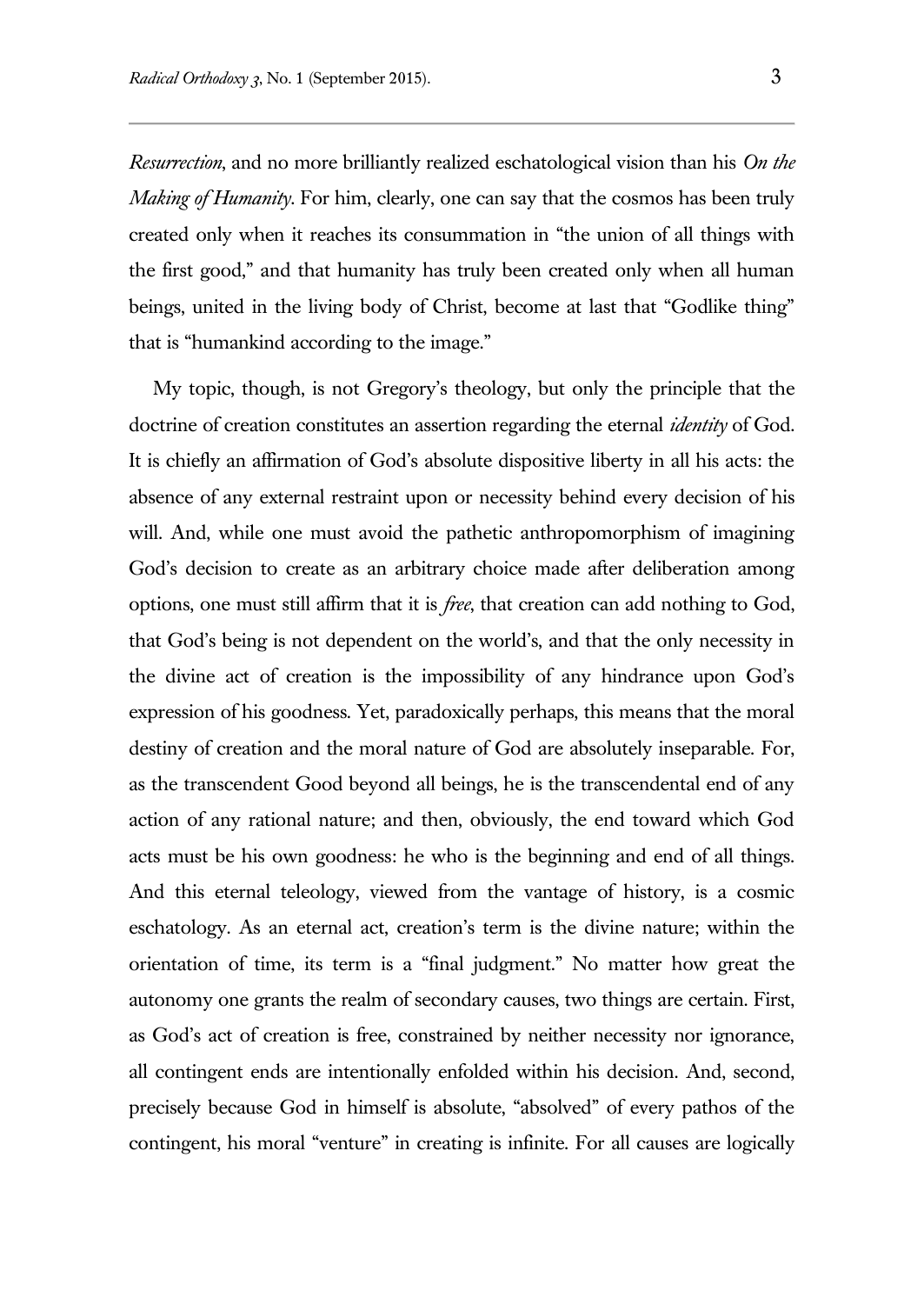*Resurrection*, and no more brilliantly realized eschatological vision than his *On the Making of Humanity*. For him, clearly, one can say that the cosmos has been truly created only when it reaches its consummation in "the union of all things with the first good," and that humanity has truly been created only when all human beings, united in the living body of Christ, become at last that "Godlike thing" that is "humankind according to the image."

My topic, though, is not Gregory's theology, but only the principle that the doctrine of creation constitutes an assertion regarding the eternal *identity* of God. It is chiefly an affirmation of God's absolute dispositive liberty in all his acts: the absence of any external restraint upon or necessity behind every decision of his will. And, while one must avoid the pathetic anthropomorphism of imagining God's decision to create as an arbitrary choice made after deliberation among options, one must still affirm that it is *free*, that creation can add nothing to God, that God's being is not dependent on the world's, and that the only necessity in the divine act of creation is the impossibility of any hindrance upon God's expression of his goodness. Yet, paradoxically perhaps, this means that the moral destiny of creation and the moral nature of God are absolutely inseparable. For, as the transcendent Good beyond all beings, he is the transcendental end of any action of any rational nature; and then, obviously, the end toward which God acts must be his own goodness: he who is the beginning and end of all things. And this eternal teleology, viewed from the vantage of history, is a cosmic eschatology. As an eternal act, creation's term is the divine nature; within the orientation of time, its term is a "final judgment." No matter how great the autonomy one grants the realm of secondary causes, two things are certain. First, as God's act of creation is free, constrained by neither necessity nor ignorance, all contingent ends are intentionally enfolded within his decision. And, second, precisely because God in himself is absolute, "absolved" of every pathos of the contingent, his moral "venture" in creating is infinite. For all causes are logically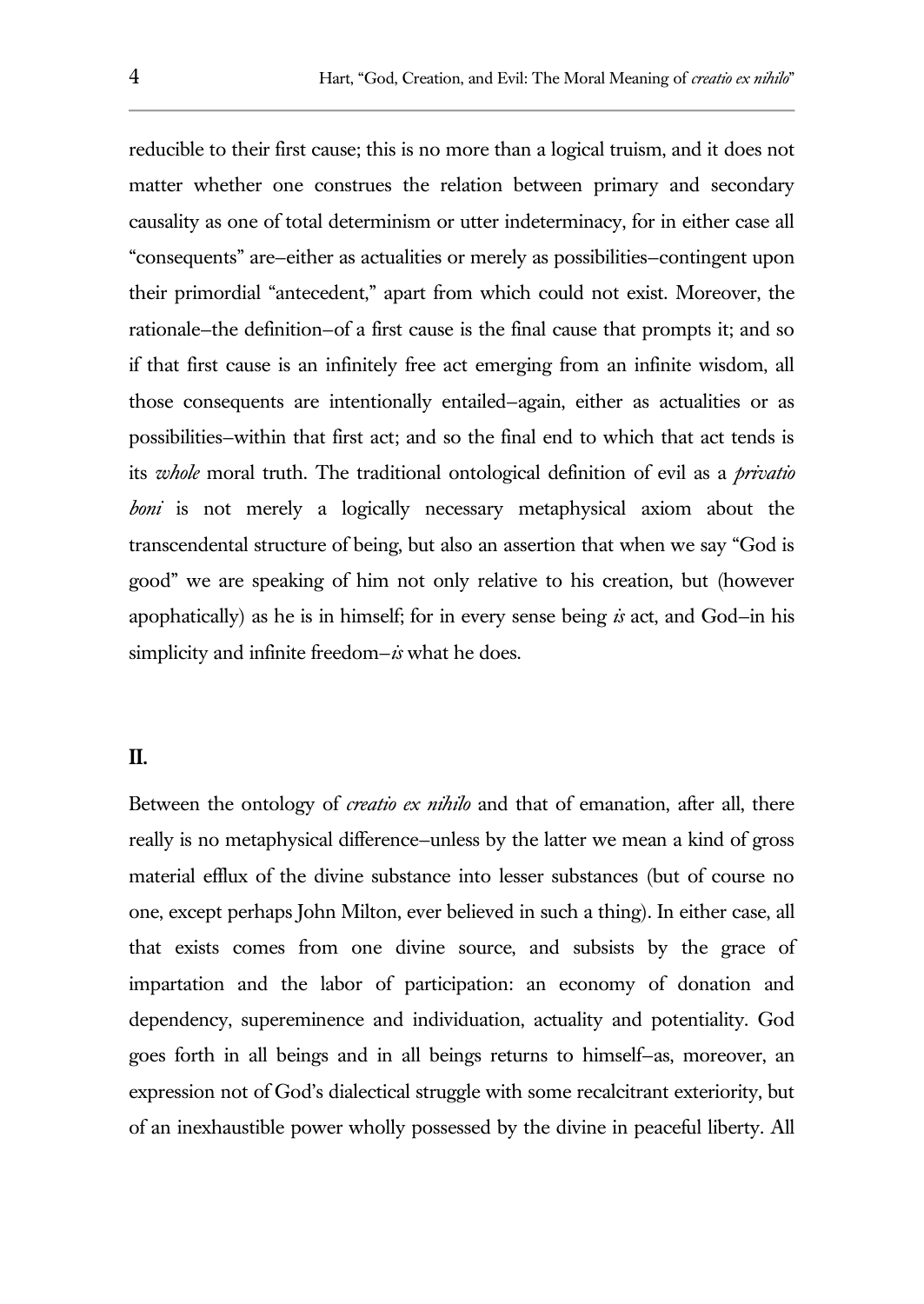reducible to their first cause; this is no more than a logical truism, and it does not matter whether one construes the relation between primary and secondary causality as one of total determinism or utter indeterminacy, for in either case all "consequents" are—either as actualities or merely as possibilities—contingent upon their primordial "antecedent," apart from which could not exist. Moreover, the rationale—the definition—of a first cause is the final cause that prompts it; and so if that first cause is an infinitely free act emerging from an infinite wisdom, all those consequents are intentionally entailed—again, either as actualities or as possibilities—within that first act; and so the final end to which that act tends is its *whole* moral truth. The traditional ontological definition of evil as a *privatio boni* is not merely a logically necessary metaphysical axiom about the transcendental structure of being, but also an assertion that when we say "God is good" we are speaking of him not only relative to his creation, but (however apophatically) as he is in himself; for in every sense being *is* act, and God—in his simplicity and infinite freedom—*is* what he does.

## **II.**

Between the ontology of *creatio ex nihilo* and that of emanation, after all, there really is no metaphysical difference—unless by the latter we mean a kind of gross material efflux of the divine substance into lesser substances (but of course no one, except perhaps John Milton, ever believed in such a thing). In either case, all that exists comes from one divine source, and subsists by the grace of impartation and the labor of participation: an economy of donation and dependency, supereminence and individuation, actuality and potentiality. God goes forth in all beings and in all beings returns to himself—as, moreover, an expression not of God's dialectical struggle with some recalcitrant exteriority, but of an inexhaustible power wholly possessed by the divine in peaceful liberty. All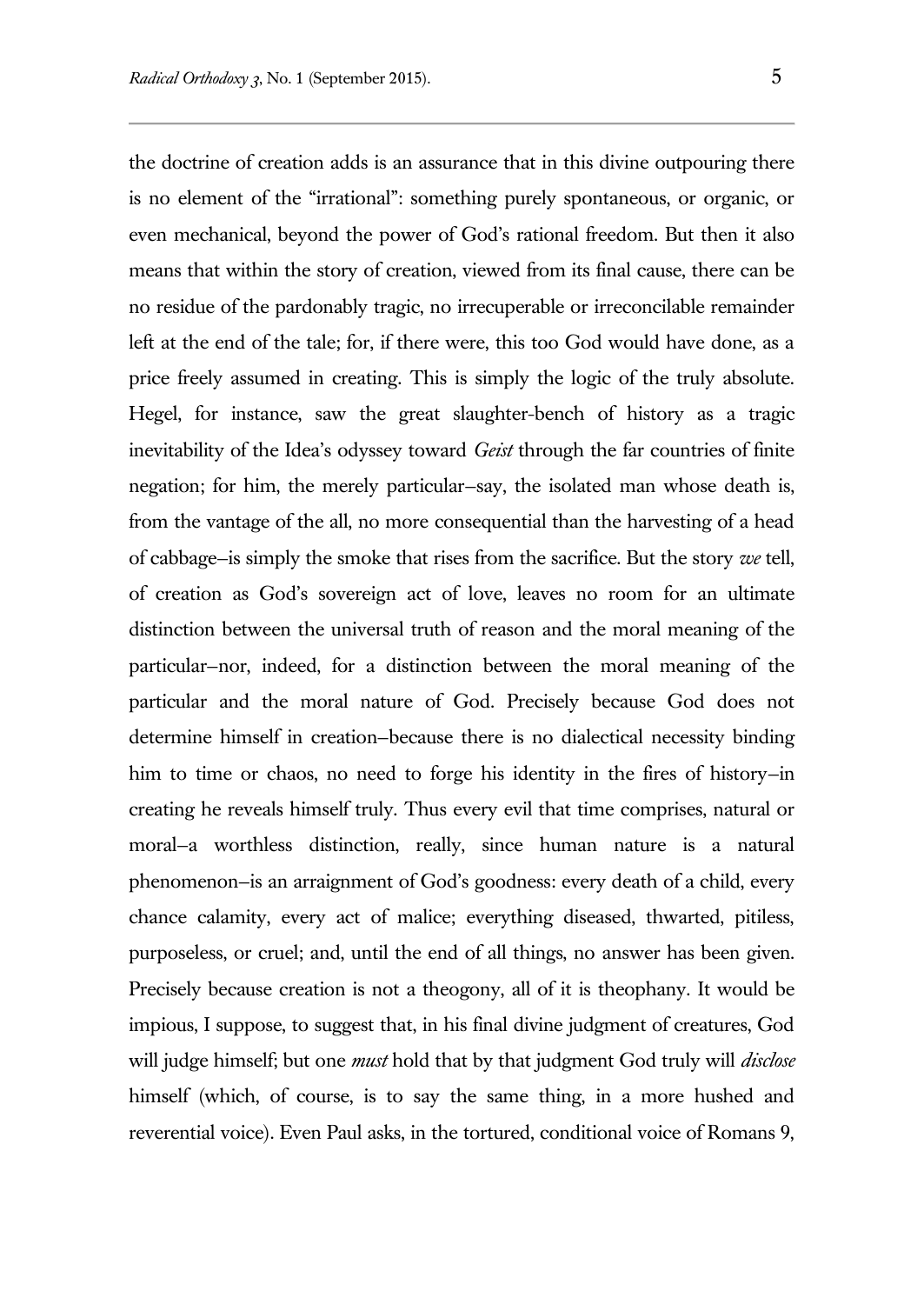the doctrine of creation adds is an assurance that in this divine outpouring there is no element of the "irrational": something purely spontaneous, or organic, or even mechanical, beyond the power of God's rational freedom. But then it also means that within the story of creation, viewed from its final cause, there can be no residue of the pardonably tragic, no irrecuperable or irreconcilable remainder left at the end of the tale; for, if there were, this too God would have done, as a price freely assumed in creating. This is simply the logic of the truly absolute. Hegel, for instance, saw the great slaughter-bench of history as a tragic inevitability of the Idea's odyssey toward *Geist* through the far countries of finite negation; for him, the merely particular—say, the isolated man whose death is, from the vantage of the all, no more consequential than the harvesting of a head of cabbage—is simply the smoke that rises from the sacrifice. But the story *we* tell, of creation as God's sovereign act of love, leaves no room for an ultimate distinction between the universal truth of reason and the moral meaning of the particular—nor, indeed, for a distinction between the moral meaning of the particular and the moral nature of God. Precisely because God does not determine himself in creation—because there is no dialectical necessity binding him to time or chaos, no need to forge his identity in the fires of history-in creating he reveals himself truly. Thus every evil that time comprises, natural or moral—a worthless distinction, really, since human nature is a natural phenomenon—is an arraignment of God's goodness: every death of a child, every chance calamity, every act of malice; everything diseased, thwarted, pitiless, purposeless, or cruel; and, until the end of all things, no answer has been given. Precisely because creation is not a theogony, all of it is theophany. It would be impious, I suppose, to suggest that, in his final divine judgment of creatures, God will judge himself; but one *must* hold that by that judgment God truly will *disclose* himself (which, of course, is to say the same thing, in a more hushed and reverential voice). Even Paul asks, in the tortured, conditional voice of Romans 9,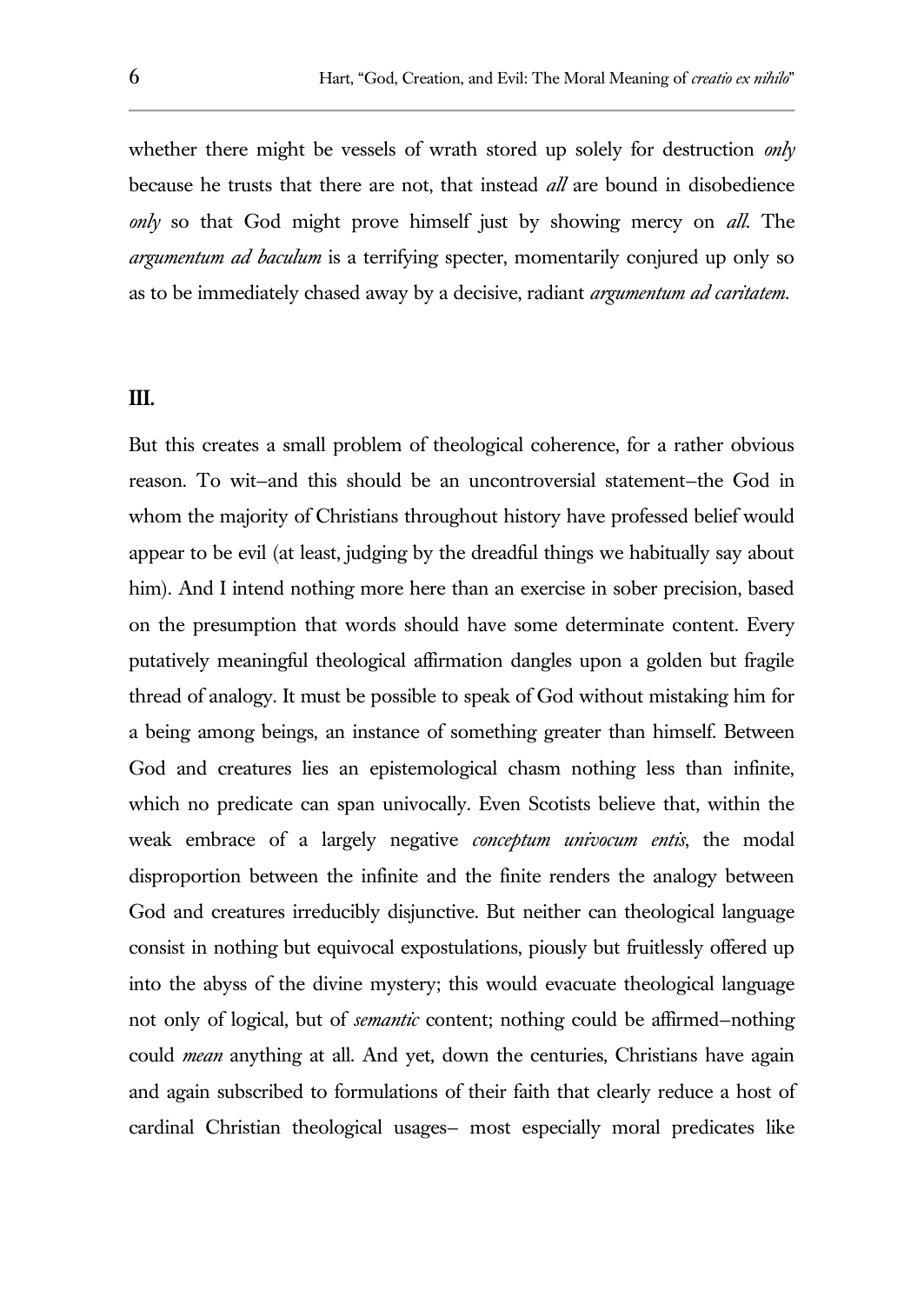whether there might be vessels of wrath stored up solely for destruction *only* because he trusts that there are not, that instead *all* are bound in disobedience *only* so that God might prove himself just by showing mercy on *all*. The *argumentum ad baculum* is a terrifying specter, momentarily conjured up only so as to be immediately chased away by a decisive, radiant *argumentum ad caritatem.*

## **III.**

But this creates a small problem of theological coherence, for a rather obvious reason. To wit—and this should be an uncontroversial statement—the God in whom the majority of Christians throughout history have professed belief would appear to be evil (at least, judging by the dreadful things we habitually say about him). And I intend nothing more here than an exercise in sober precision, based on the presumption that words should have some determinate content. Every putatively meaningful theological affirmation dangles upon a golden but fragile thread of analogy. It must be possible to speak of God without mistaking him for a being among beings, an instance of something greater than himself. Between God and creatures lies an epistemological chasm nothing less than infinite, which no predicate can span univocally. Even Scotists believe that, within the weak embrace of a largely negative *conceptum univocum entis*, the modal disproportion between the infinite and the finite renders the analogy between God and creatures irreducibly disjunctive. But neither can theological language consist in nothing but equivocal expostulations, piously but fruitlessly offered up into the abyss of the divine mystery; this would evacuate theological language not only of logical, but of *semantic* content; nothing could be affirmed—nothing could *mean* anything at all. And yet, down the centuries, Christians have again and again subscribed to formulations of their faith that clearly reduce a host of cardinal Christian theological usages— most especially moral predicates like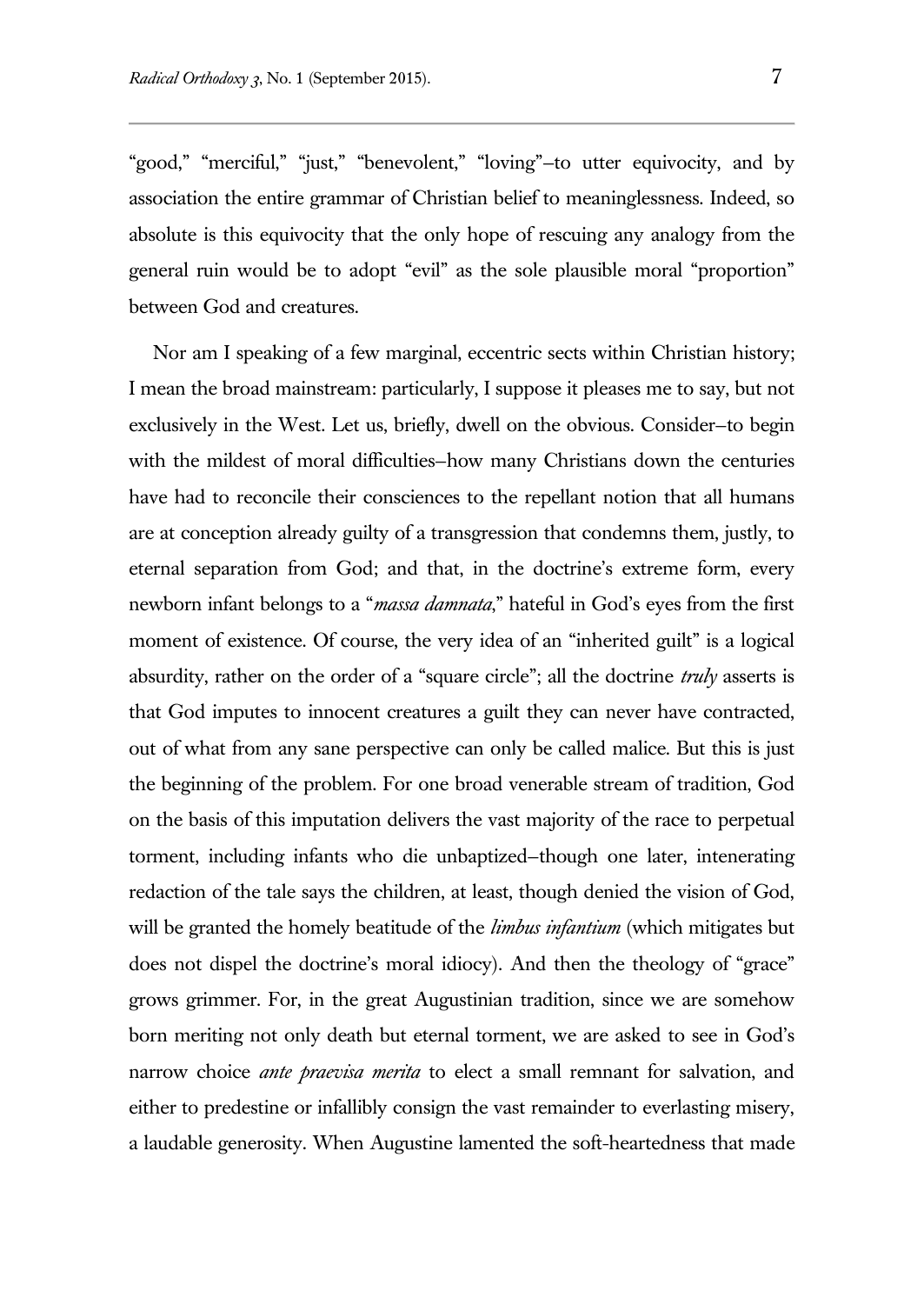"good," "merciful," "just," "benevolent," "loving"—to utter equivocity, and by association the entire grammar of Christian belief to meaninglessness. Indeed, so absolute is this equivocity that the only hope of rescuing any analogy from the general ruin would be to adopt "evil" as the sole plausible moral "proportion" between God and creatures.

Nor am I speaking of a few marginal, eccentric sects within Christian history; I mean the broad mainstream: particularly, I suppose it pleases me to say, but not exclusively in the West. Let us, briefly, dwell on the obvious. Consider—to begin with the mildest of moral difficulties—how many Christians down the centuries have had to reconcile their consciences to the repellant notion that all humans are at conception already guilty of a transgression that condemns them, justly, to eternal separation from God; and that, in the doctrine's extreme form, every newborn infant belongs to a "*massa damnata*," hateful in God's eyes from the first moment of existence. Of course, the very idea of an "inherited guilt" is a logical absurdity, rather on the order of a "square circle"; all the doctrine *truly* asserts is that God imputes to innocent creatures a guilt they can never have contracted, out of what from any sane perspective can only be called malice. But this is just the beginning of the problem. For one broad venerable stream of tradition, God on the basis of this imputation delivers the vast majority of the race to perpetual torment, including infants who die unbaptized—though one later, intenerating redaction of the tale says the children, at least, though denied the vision of God, will be granted the homely beatitude of the *limbus infantium* (which mitigates but does not dispel the doctrine's moral idiocy). And then the theology of "grace" grows grimmer. For, in the great Augustinian tradition, since we are somehow born meriting not only death but eternal torment, we are asked to see in God's narrow choice *ante praevisa merita* to elect a small remnant for salvation, and either to predestine or infallibly consign the vast remainder to everlasting misery, a laudable generosity. When Augustine lamented the soft-heartedness that made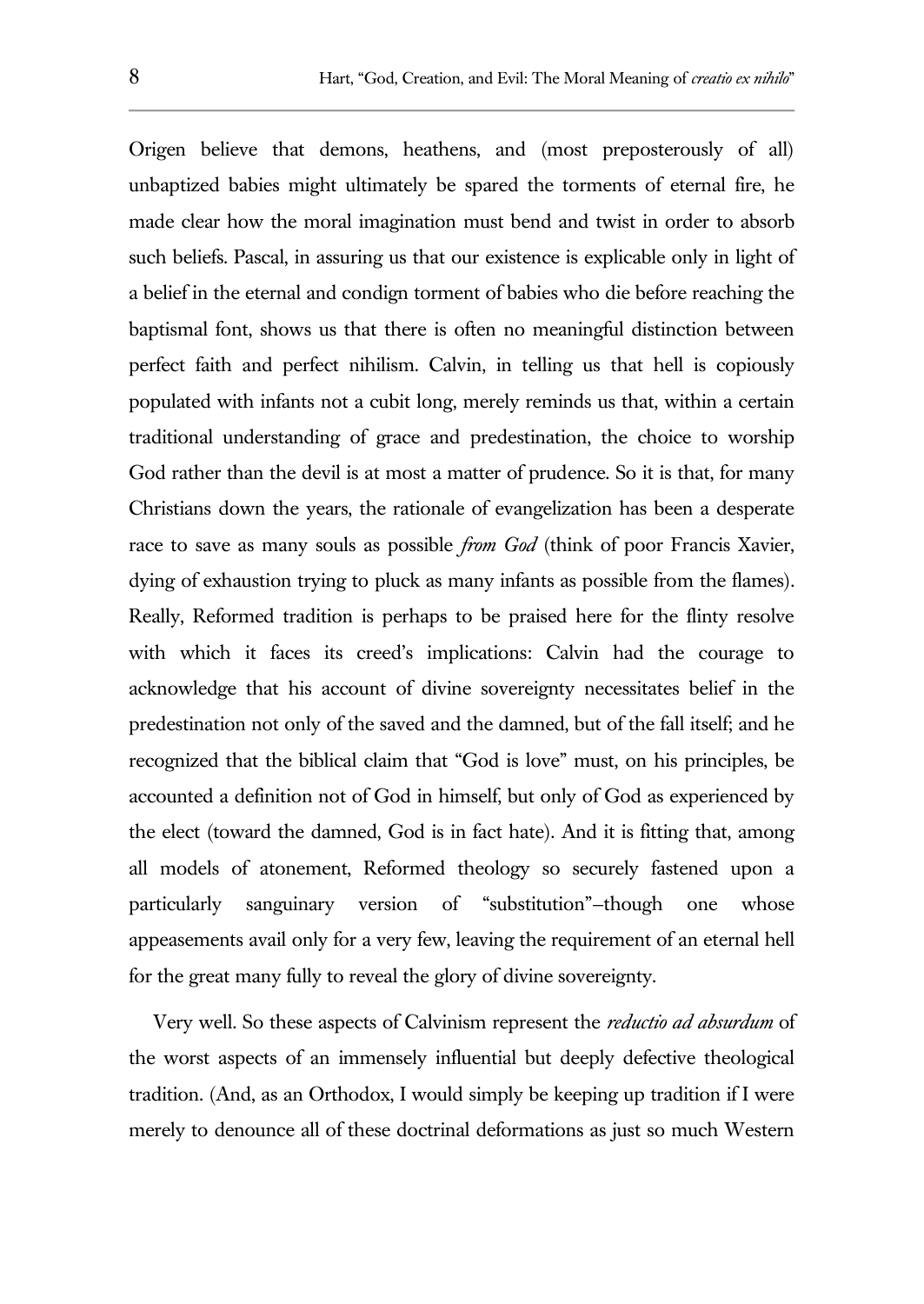Origen believe that demons, heathens, and (most preposterously of all) unbaptized babies might ultimately be spared the torments of eternal fire, he made clear how the moral imagination must bend and twist in order to absorb such beliefs. Pascal, in assuring us that our existence is explicable only in light of a belief in the eternal and condign torment of babies who die before reaching the baptismal font, shows us that there is often no meaningful distinction between perfect faith and perfect nihilism. Calvin, in telling us that hell is copiously populated with infants not a cubit long, merely reminds us that, within a certain traditional understanding of grace and predestination, the choice to worship God rather than the devil is at most a matter of prudence. So it is that, for many Christians down the years, the rationale of evangelization has been a desperate race to save as many souls as possible *from God* (think of poor Francis Xavier, dying of exhaustion trying to pluck as many infants as possible from the flames). Really, Reformed tradition is perhaps to be praised here for the flinty resolve with which it faces its creed's implications: Calvin had the courage to acknowledge that his account of divine sovereignty necessitates belief in the predestination not only of the saved and the damned, but of the fall itself; and he recognized that the biblical claim that "God is love" must, on his principles, be accounted a definition not of God in himself, but only of God as experienced by the elect (toward the damned, God is in fact hate). And it is fitting that, among all models of atonement, Reformed theology so securely fastened upon a particularly sanguinary version of "substitution"—though one whose appeasements avail only for a very few, leaving the requirement of an eternal hell for the great many fully to reveal the glory of divine sovereignty.

Very well. So these aspects of Calvinism represent the *reductio ad absurdum* of the worst aspects of an immensely influential but deeply defective theological tradition. (And, as an Orthodox, I would simply be keeping up tradition if I were merely to denounce all of these doctrinal deformations as just so much Western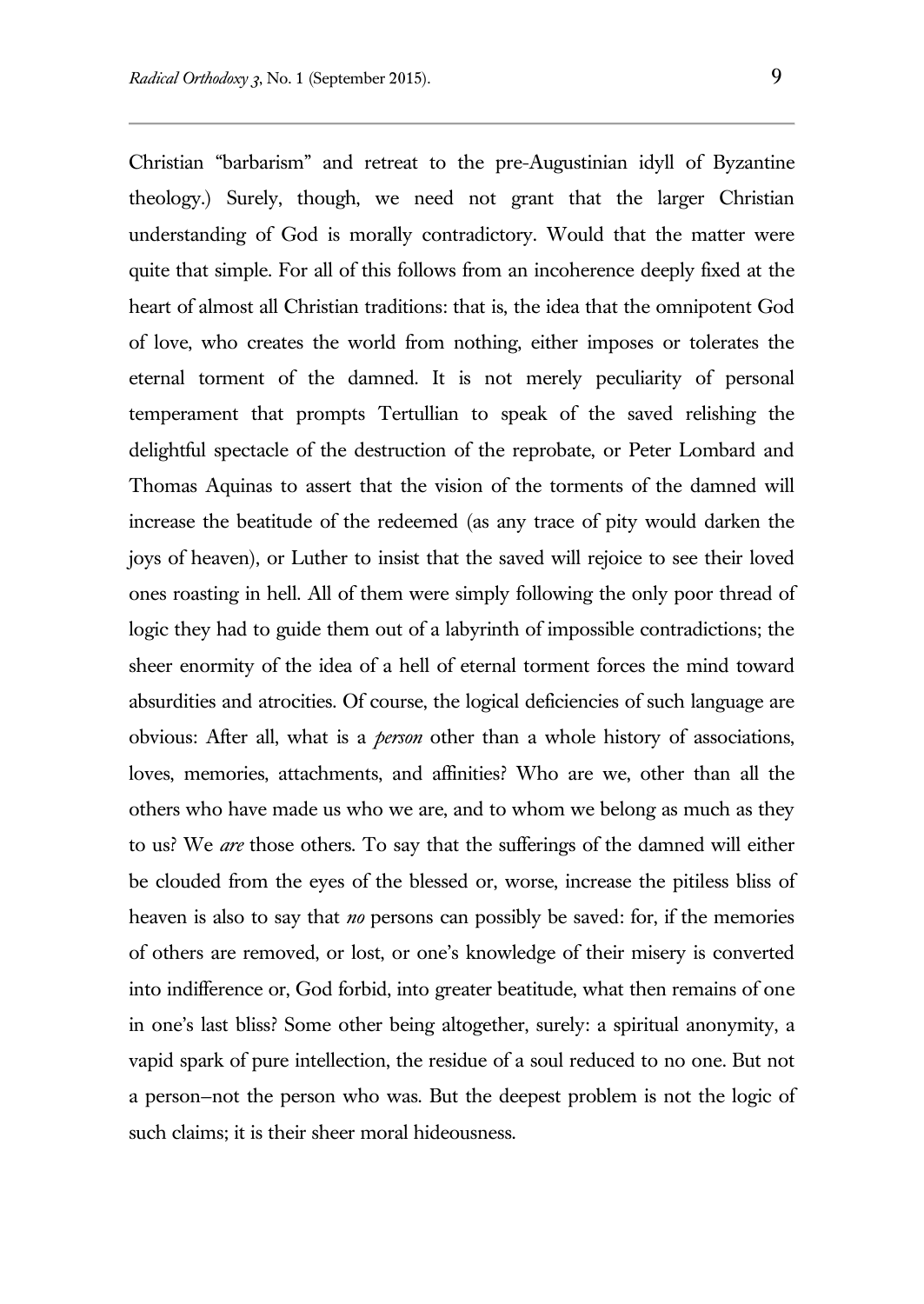Christian "barbarism" and retreat to the pre-Augustinian idyll of Byzantine theology.) Surely, though, we need not grant that the larger Christian understanding of God is morally contradictory. Would that the matter were quite that simple. For all of this follows from an incoherence deeply fixed at the heart of almost all Christian traditions: that is, the idea that the omnipotent God of love, who creates the world from nothing, either imposes or tolerates the eternal torment of the damned. It is not merely peculiarity of personal temperament that prompts Tertullian to speak of the saved relishing the delightful spectacle of the destruction of the reprobate, or Peter Lombard and Thomas Aquinas to assert that the vision of the torments of the damned will increase the beatitude of the redeemed (as any trace of pity would darken the joys of heaven), or Luther to insist that the saved will rejoice to see their loved ones roasting in hell. All of them were simply following the only poor thread of logic they had to guide them out of a labyrinth of impossible contradictions; the sheer enormity of the idea of a hell of eternal torment forces the mind toward absurdities and atrocities. Of course, the logical deficiencies of such language are obvious: After all, what is a *person* other than a whole history of associations, loves, memories, attachments, and affinities? Who are we, other than all the others who have made us who we are, and to whom we belong as much as they to us? We *are* those others. To say that the sufferings of the damned will either be clouded from the eyes of the blessed or, worse, increase the pitiless bliss of heaven is also to say that *no* persons can possibly be saved: for, if the memories of others are removed, or lost, or one's knowledge of their misery is converted into indifference or, God forbid, into greater beatitude, what then remains of one in one's last bliss? Some other being altogether, surely: a spiritual anonymity, a vapid spark of pure intellection, the residue of a soul reduced to no one. But not a person—not the person who was. But the deepest problem is not the logic of such claims; it is their sheer moral hideousness.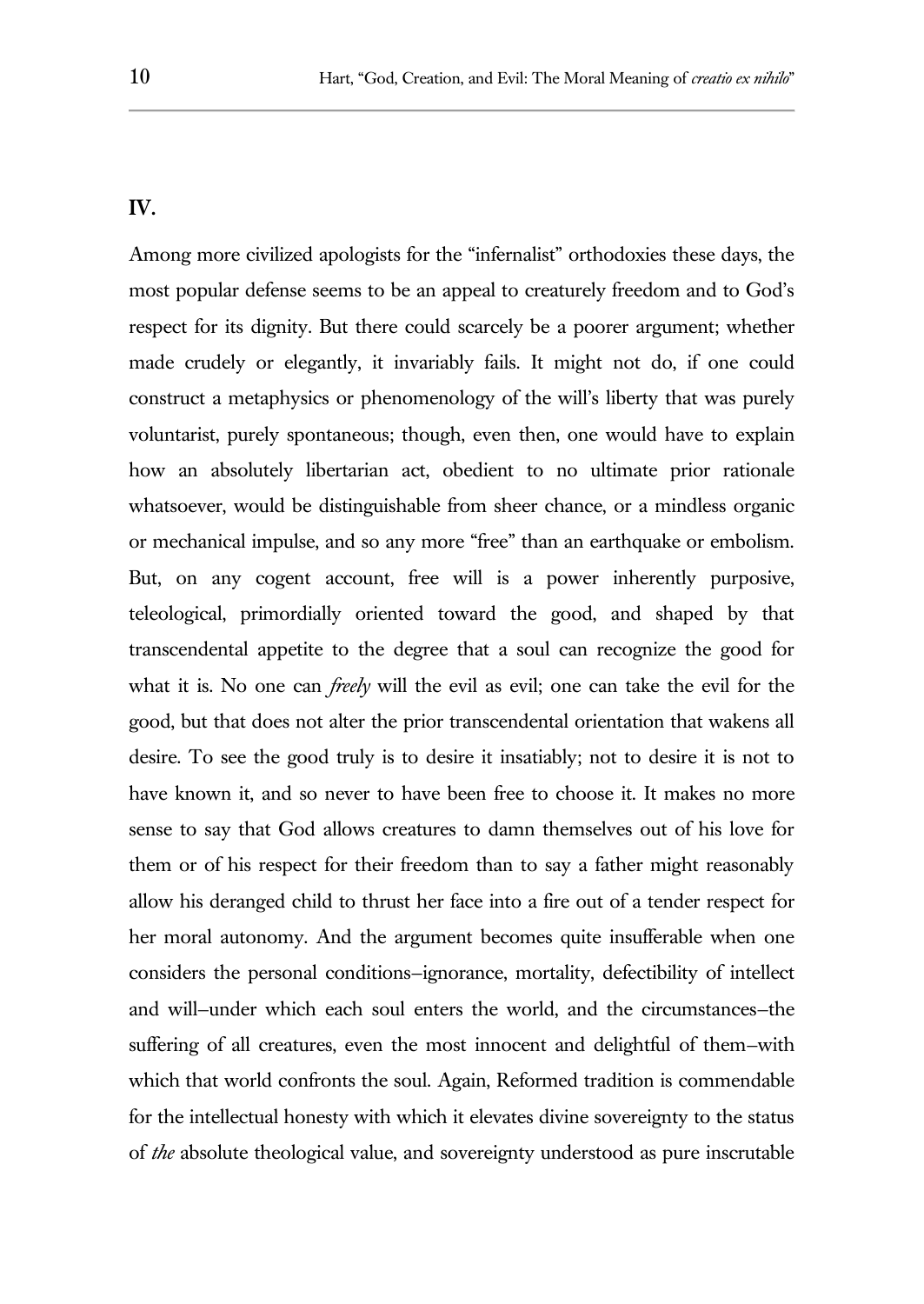### **IV.**

Among more civilized apologists for the "infernalist" orthodoxies these days, the most popular defense seems to be an appeal to creaturely freedom and to God's respect for its dignity. But there could scarcely be a poorer argument; whether made crudely or elegantly, it invariably fails. It might not do, if one could construct a metaphysics or phenomenology of the will's liberty that was purely voluntarist, purely spontaneous; though, even then, one would have to explain how an absolutely libertarian act, obedient to no ultimate prior rationale whatsoever, would be distinguishable from sheer chance, or a mindless organic or mechanical impulse, and so any more "free" than an earthquake or embolism. But, on any cogent account, free will is a power inherently purposive, teleological, primordially oriented toward the good, and shaped by that transcendental appetite to the degree that a soul can recognize the good for what it is. No one can *freely* will the evil as evil; one can take the evil for the good, but that does not alter the prior transcendental orientation that wakens all desire. To see the good truly is to desire it insatiably; not to desire it is not to have known it, and so never to have been free to choose it. It makes no more sense to say that God allows creatures to damn themselves out of his love for them or of his respect for their freedom than to say a father might reasonably allow his deranged child to thrust her face into a fire out of a tender respect for her moral autonomy. And the argument becomes quite insufferable when one considers the personal conditions—ignorance, mortality, defectibility of intellect and will—under which each soul enters the world, and the circumstances—the suffering of all creatures, even the most innocent and delightful of them—with which that world confronts the soul. Again, Reformed tradition is commendable for the intellectual honesty with which it elevates divine sovereignty to the status of *the* absolute theological value, and sovereignty understood as pure inscrutable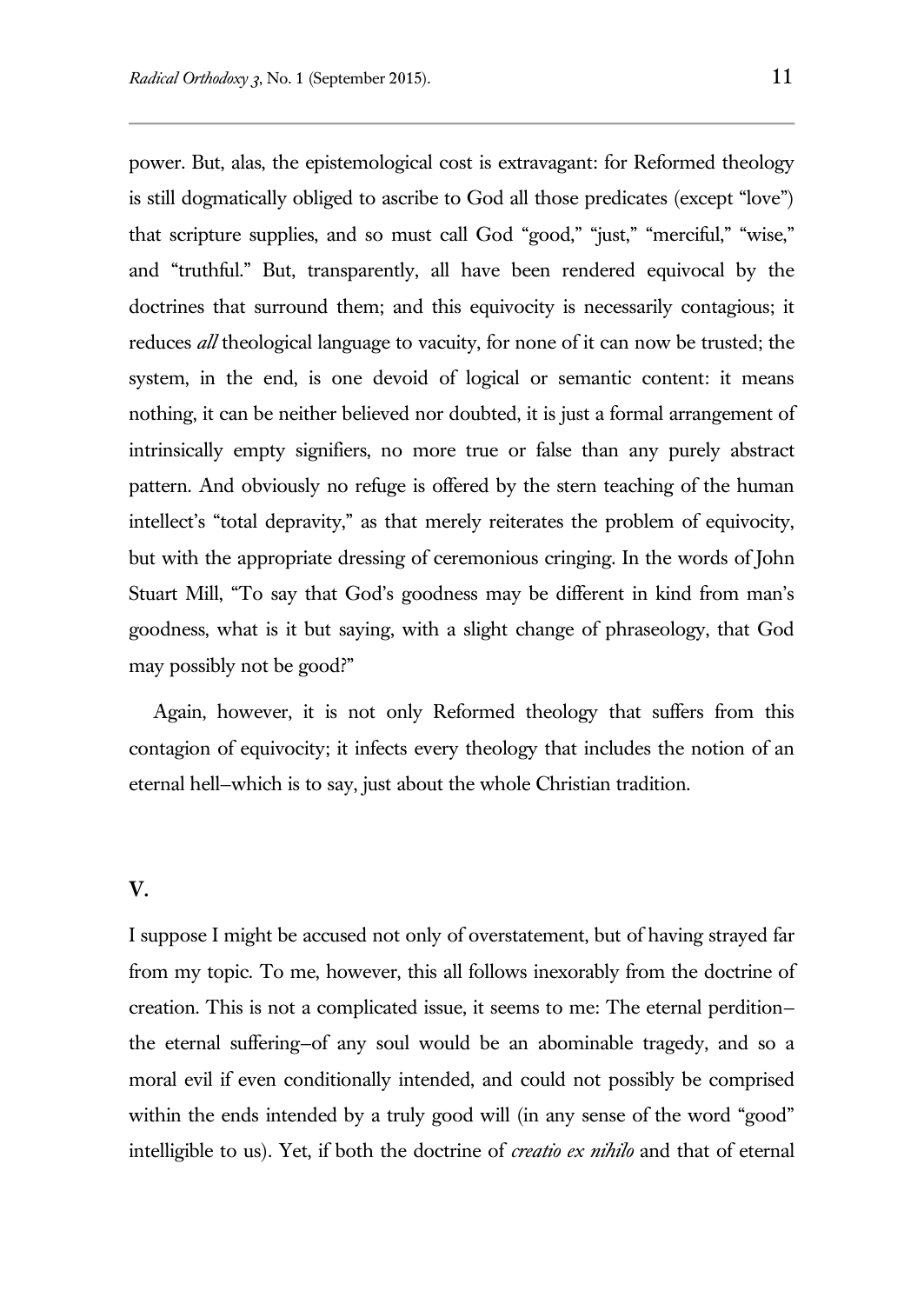power. But, alas, the epistemological cost is extravagant: for Reformed theology is still dogmatically obliged to ascribe to God all those predicates (except "love") that scripture supplies, and so must call God "good," "just," "merciful," "wise," and "truthful." But, transparently, all have been rendered equivocal by the doctrines that surround them; and this equivocity is necessarily contagious; it reduces *all* theological language to vacuity, for none of it can now be trusted; the system, in the end, is one devoid of logical or semantic content: it means nothing, it can be neither believed nor doubted, it is just a formal arrangement of intrinsically empty signifiers, no more true or false than any purely abstract pattern. And obviously no refuge is offered by the stern teaching of the human intellect's "total depravity," as that merely reiterates the problem of equivocity, but with the appropriate dressing of ceremonious cringing. In the words of John Stuart Mill, "To say that God's goodness may be different in kind from man's goodness, what is it but saying, with a slight change of phraseology, that God may possibly not be good?"

Again, however, it is not only Reformed theology that suffers from this contagion of equivocity; it infects every theology that includes the notion of an eternal hell—which is to say, just about the whole Christian tradition.

#### **V.**

I suppose I might be accused not only of overstatement, but of having strayed far from my topic. To me, however, this all follows inexorably from the doctrine of creation. This is not a complicated issue, it seems to me: The eternal perdition the eternal suffering—of any soul would be an abominable tragedy, and so a moral evil if even conditionally intended, and could not possibly be comprised within the ends intended by a truly good will (in any sense of the word "good" intelligible to us). Yet, if both the doctrine of *creatio ex nihilo* and that of eternal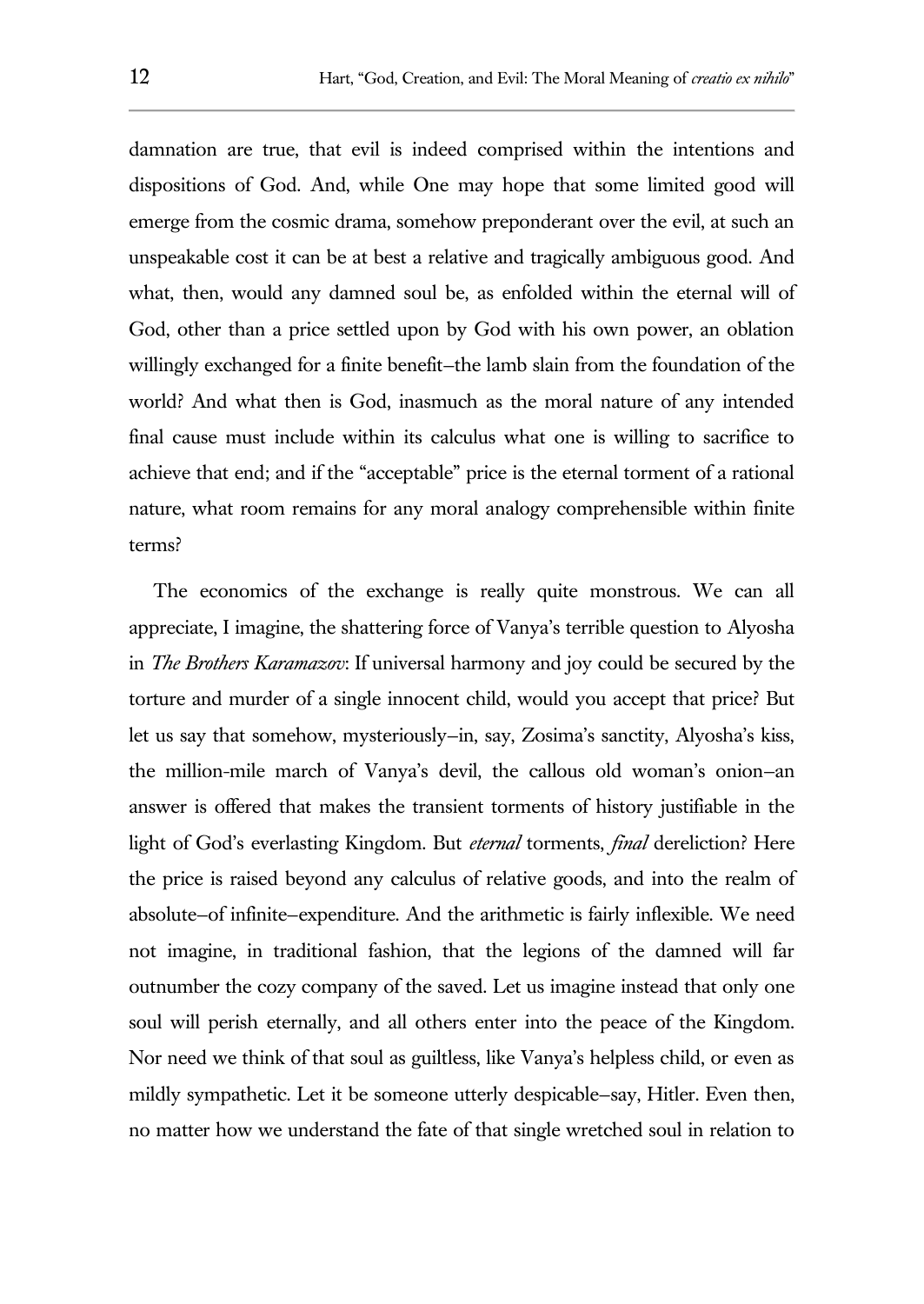damnation are true, that evil is indeed comprised within the intentions and dispositions of God. And, while One may hope that some limited good will emerge from the cosmic drama, somehow preponderant over the evil, at such an unspeakable cost it can be at best a relative and tragically ambiguous good. And what, then, would any damned soul be, as enfolded within the eternal will of God, other than a price settled upon by God with his own power, an oblation willingly exchanged for a finite benefit—the lamb slain from the foundation of the world? And what then is God, inasmuch as the moral nature of any intended final cause must include within its calculus what one is willing to sacrifice to achieve that end; and if the "acceptable" price is the eternal torment of a rational nature, what room remains for any moral analogy comprehensible within finite terms?

The economics of the exchange is really quite monstrous. We can all appreciate, I imagine, the shattering force of Vanya's terrible question to Alyosha in *The Brothers Karamazov*: If universal harmony and joy could be secured by the torture and murder of a single innocent child, would you accept that price? But let us say that somehow, mysteriously—in, say, Zosima's sanctity, Alyosha's kiss, the million-mile march of Vanya's devil, the callous old woman's onion—an answer is offered that makes the transient torments of history justifiable in the light of God's everlasting Kingdom. But *eternal* torments, *final* dereliction? Here the price is raised beyond any calculus of relative goods, and into the realm of absolute—of infinite—expenditure. And the arithmetic is fairly inflexible. We need not imagine, in traditional fashion, that the legions of the damned will far outnumber the cozy company of the saved. Let us imagine instead that only one soul will perish eternally, and all others enter into the peace of the Kingdom. Nor need we think of that soul as guiltless, like Vanya's helpless child, or even as mildly sympathetic. Let it be someone utterly despicable—say, Hitler. Even then, no matter how we understand the fate of that single wretched soul in relation to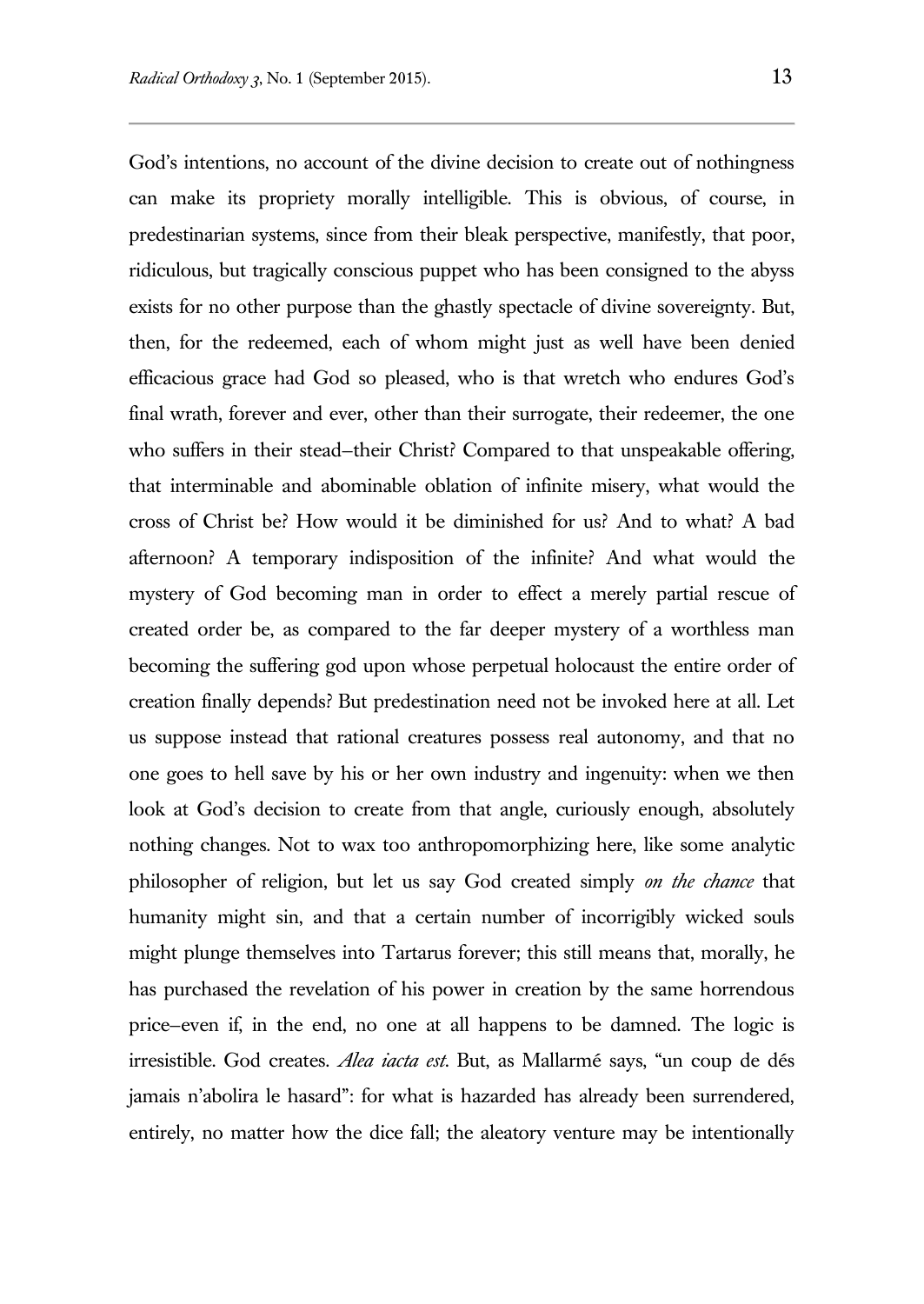God's intentions, no account of the divine decision to create out of nothingness can make its propriety morally intelligible. This is obvious, of course, in predestinarian systems, since from their bleak perspective, manifestly, that poor, ridiculous, but tragically conscious puppet who has been consigned to the abyss exists for no other purpose than the ghastly spectacle of divine sovereignty. But, then, for the redeemed, each of whom might just as well have been denied efficacious grace had God so pleased, who is that wretch who endures God's final wrath, forever and ever, other than their surrogate, their redeemer, the one who suffers in their stead–their Christ? Compared to that unspeakable offering, that interminable and abominable oblation of infinite misery, what would the cross of Christ be? How would it be diminished for us? And to what? A bad afternoon? A temporary indisposition of the infinite? And what would the mystery of God becoming man in order to effect a merely partial rescue of created order be, as compared to the far deeper mystery of a worthless man becoming the suffering god upon whose perpetual holocaust the entire order of creation finally depends? But predestination need not be invoked here at all. Let us suppose instead that rational creatures possess real autonomy, and that no one goes to hell save by his or her own industry and ingenuity: when we then look at God's decision to create from that angle, curiously enough, absolutely nothing changes. Not to wax too anthropomorphizing here, like some analytic philosopher of religion, but let us say God created simply *on the chance* that humanity might sin, and that a certain number of incorrigibly wicked souls might plunge themselves into Tartarus forever; this still means that, morally, he has purchased the revelation of his power in creation by the same horrendous price—even if, in the end, no one at all happens to be damned. The logic is irresistible. God creates. *Alea iacta est*. But, as Mallarmé says, "un coup de dés jamais n'abolira le hasard": for what is hazarded has already been surrendered, entirely, no matter how the dice fall; the aleatory venture may be intentionally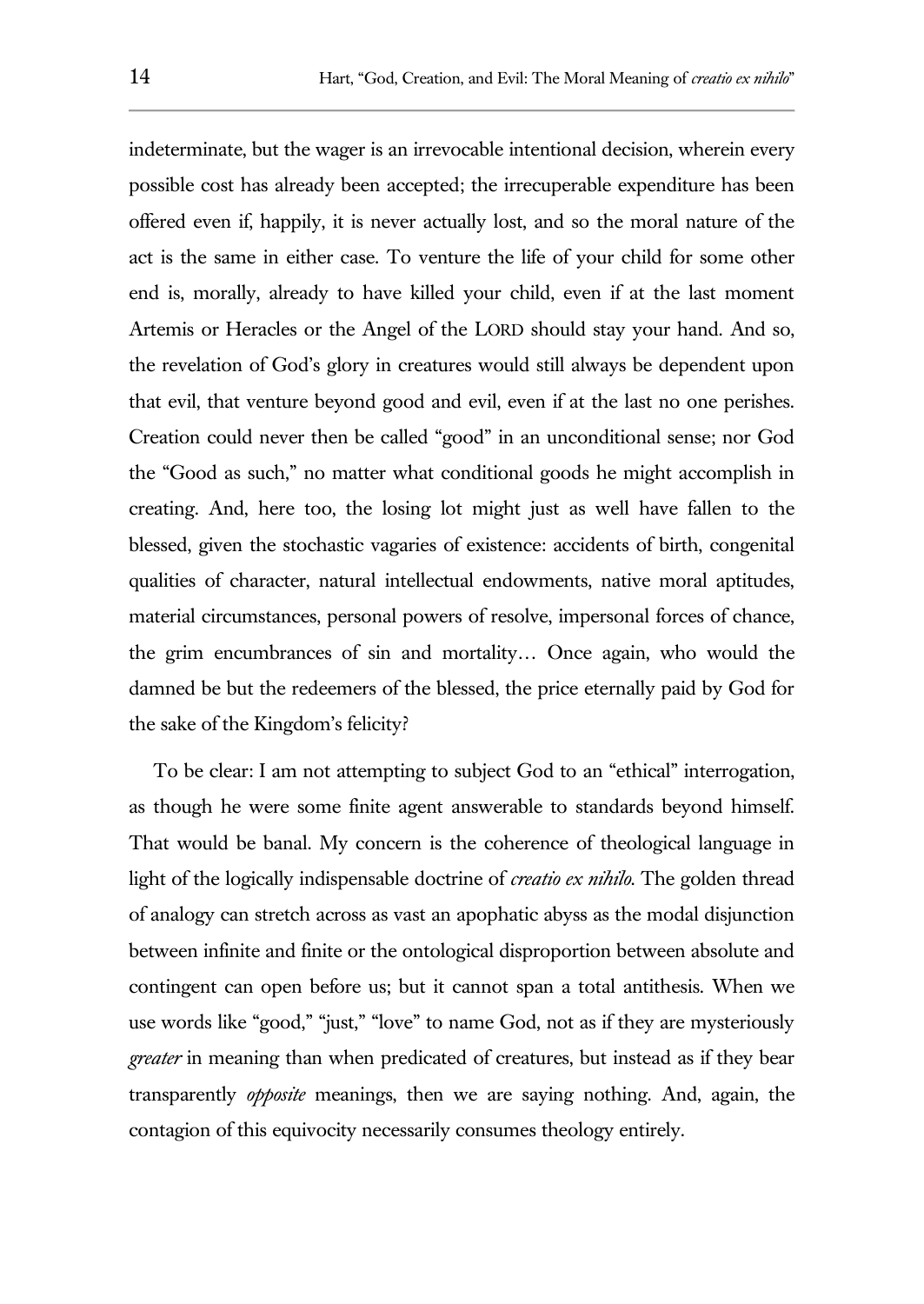indeterminate, but the wager is an irrevocable intentional decision, wherein every possible cost has already been accepted; the irrecuperable expenditure has been offered even if, happily, it is never actually lost, and so the moral nature of the act is the same in either case. To venture the life of your child for some other end is, morally, already to have killed your child, even if at the last moment Artemis or Heracles or the Angel of the LORD should stay your hand. And so, the revelation of God's glory in creatures would still always be dependent upon that evil, that venture beyond good and evil, even if at the last no one perishes. Creation could never then be called "good" in an unconditional sense; nor God the "Good as such," no matter what conditional goods he might accomplish in creating. And, here too, the losing lot might just as well have fallen to the blessed, given the stochastic vagaries of existence: accidents of birth, congenital qualities of character, natural intellectual endowments, native moral aptitudes, material circumstances, personal powers of resolve, impersonal forces of chance, the grim encumbrances of sin and mortality… Once again, who would the damned be but the redeemers of the blessed, the price eternally paid by God for the sake of the Kingdom's felicity?

To be clear: I am not attempting to subject God to an "ethical" interrogation, as though he were some finite agent answerable to standards beyond himself. That would be banal. My concern is the coherence of theological language in light of the logically indispensable doctrine of *creatio ex nihilo*. The golden thread of analogy can stretch across as vast an apophatic abyss as the modal disjunction between infinite and finite or the ontological disproportion between absolute and contingent can open before us; but it cannot span a total antithesis. When we use words like "good," "just," "love" to name God, not as if they are mysteriously *greater* in meaning than when predicated of creatures, but instead as if they bear transparently *opposite* meanings, then we are saying nothing. And, again, the contagion of this equivocity necessarily consumes theology entirely.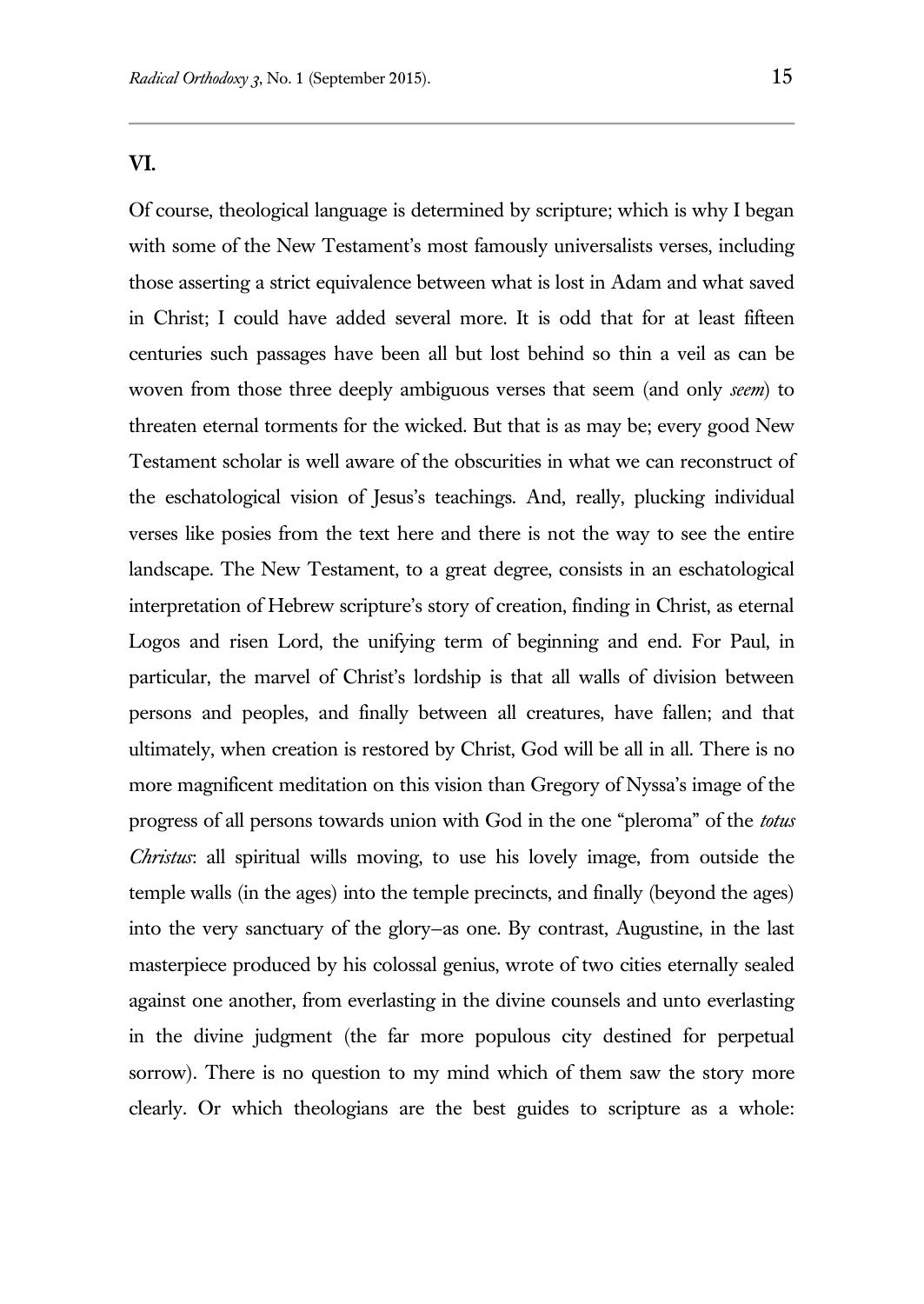#### **VI.**

Of course, theological language is determined by scripture; which is why I began with some of the New Testament's most famously universalists verses, including those asserting a strict equivalence between what is lost in Adam and what saved in Christ; I could have added several more. It is odd that for at least fifteen centuries such passages have been all but lost behind so thin a veil as can be woven from those three deeply ambiguous verses that seem (and only *seem*) to threaten eternal torments for the wicked. But that is as may be; every good New Testament scholar is well aware of the obscurities in what we can reconstruct of the eschatological vision of Jesus's teachings. And, really, plucking individual verses like posies from the text here and there is not the way to see the entire landscape. The New Testament, to a great degree, consists in an eschatological interpretation of Hebrew scripture's story of creation, finding in Christ, as eternal Logos and risen Lord, the unifying term of beginning and end. For Paul, in particular, the marvel of Christ's lordship is that all walls of division between persons and peoples, and finally between all creatures, have fallen; and that ultimately, when creation is restored by Christ, God will be all in all. There is no more magnificent meditation on this vision than Gregory of Nyssa's image of the progress of all persons towards union with God in the one "pleroma" of the *totus Christus*: all spiritual wills moving, to use his lovely image, from outside the temple walls (in the ages) into the temple precincts, and finally (beyond the ages) into the very sanctuary of the glory—as one. By contrast, Augustine, in the last masterpiece produced by his colossal genius, wrote of two cities eternally sealed against one another, from everlasting in the divine counsels and unto everlasting in the divine judgment (the far more populous city destined for perpetual sorrow). There is no question to my mind which of them saw the story more clearly. Or which theologians are the best guides to scripture as a whole: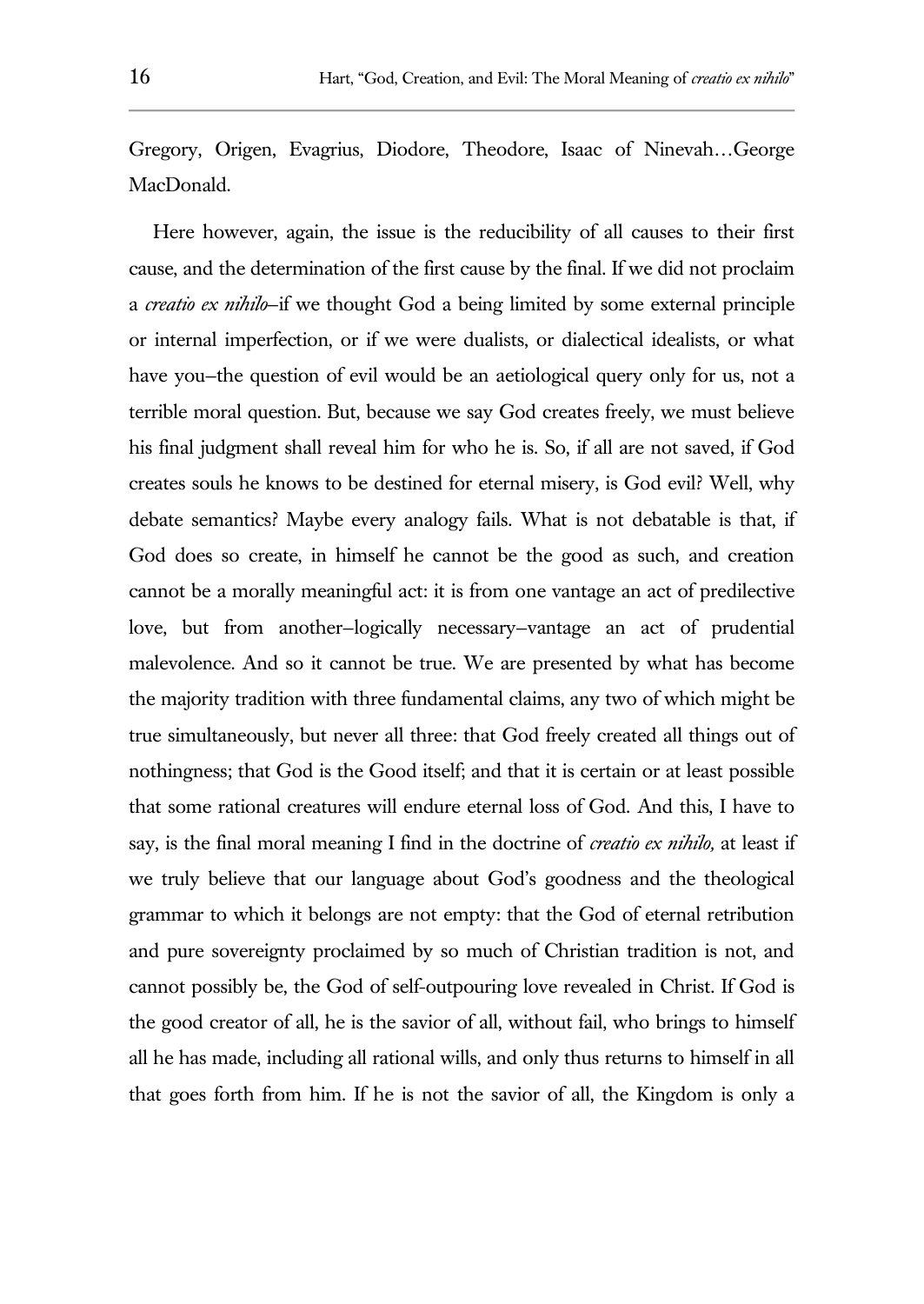Gregory, Origen, Evagrius, Diodore, Theodore, Isaac of Ninevah…George MacDonald.

Here however, again, the issue is the reducibility of all causes to their first cause, and the determination of the first cause by the final. If we did not proclaim a *creatio ex nihilo*—if we thought God a being limited by some external principle or internal imperfection, or if we were dualists, or dialectical idealists, or what have you-the question of evil would be an aetiological query only for us, not a terrible moral question. But, because we say God creates freely, we must believe his final judgment shall reveal him for who he is. So, if all are not saved, if God creates souls he knows to be destined for eternal misery, is God evil? Well, why debate semantics? Maybe every analogy fails. What is not debatable is that, if God does so create, in himself he cannot be the good as such, and creation cannot be a morally meaningful act: it is from one vantage an act of predilective love, but from another—logically necessary—vantage an act of prudential malevolence. And so it cannot be true. We are presented by what has become the majority tradition with three fundamental claims, any two of which might be true simultaneously, but never all three: that God freely created all things out of nothingness; that God is the Good itself; and that it is certain or at least possible that some rational creatures will endure eternal loss of God. And this, I have to say, is the final moral meaning I find in the doctrine of *creatio ex nihilo,* at least if we truly believe that our language about God's goodness and the theological grammar to which it belongs are not empty: that the God of eternal retribution and pure sovereignty proclaimed by so much of Christian tradition is not, and cannot possibly be, the God of self-outpouring love revealed in Christ. If God is the good creator of all, he is the savior of all, without fail, who brings to himself all he has made, including all rational wills, and only thus returns to himself in all that goes forth from him. If he is not the savior of all, the Kingdom is only a